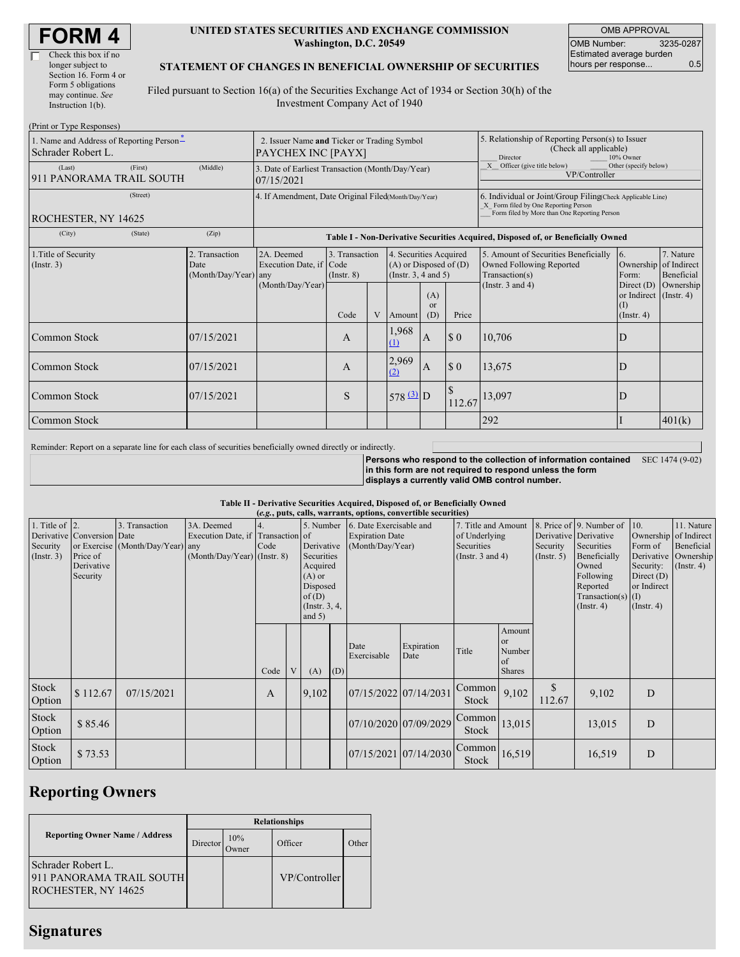$(D_{\text{rint}} \text{ or } T)$ 

#### **UNITED STATES SECURITIES AND EXCHANGE COMMISSION Washington, D.C. 20549**

OMB APPROVAL OMB Number: 3235-0287 Estimated average burden hours per response... 0.5

### **STATEMENT OF CHANGES IN BENEFICIAL OWNERSHIP OF SECURITIES**

Filed pursuant to Section 16(a) of the Securities Exchange Act of 1934 or Section 30(h) of the Investment Company Act of 1940

| $(1 \text{ min of 1 ypc Rcspons} \cup)$<br>1. Name and Address of Reporting Person-<br>Schrader Robert L. | 2. Issuer Name and Ticker or Trading Symbol<br>PAYCHEX INC [PAYX] |                                                                                                                 |                                   |   |                                                                              | 5. Relationship of Reporting Person(s) to Issuer<br>(Check all applicable)<br>Director<br>10% Owner |                                                                                                                                                    |                                                                                    |                                                                   |                         |
|-----------------------------------------------------------------------------------------------------------|-------------------------------------------------------------------|-----------------------------------------------------------------------------------------------------------------|-----------------------------------|---|------------------------------------------------------------------------------|-----------------------------------------------------------------------------------------------------|----------------------------------------------------------------------------------------------------------------------------------------------------|------------------------------------------------------------------------------------|-------------------------------------------------------------------|-------------------------|
| (First)<br>(Last)<br>911 PANORAMA TRAIL SOUTH                                                             | (Middle)                                                          | X Officer (give title below)<br>3. Date of Earliest Transaction (Month/Day/Year)<br>VP/Controller<br>07/15/2021 |                                   |   |                                                                              |                                                                                                     |                                                                                                                                                    | Other (specify below)                                                              |                                                                   |                         |
| (Street)<br>ROCHESTER, NY 14625                                                                           |                                                                   | 4. If Amendment, Date Original Filed Month/Day/Year)                                                            |                                   |   |                                                                              |                                                                                                     | 6. Individual or Joint/Group Filing Check Applicable Line)<br>X Form filed by One Reporting Person<br>Form filed by More than One Reporting Person |                                                                                    |                                                                   |                         |
| (City)<br>(State)                                                                                         | (Zip)                                                             | Table I - Non-Derivative Securities Acquired, Disposed of, or Beneficially Owned                                |                                   |   |                                                                              |                                                                                                     |                                                                                                                                                    |                                                                                    |                                                                   |                         |
| 1. Title of Security<br>(Insert. 3)                                                                       | 2. Transaction<br>Date<br>(Month/Day/Year)                        | 2A. Deemed<br>Execution Date, if Code<br>any                                                                    | 3. Transaction<br>$($ Instr. $8)$ |   | 4. Securities Acquired<br>$(A)$ or Disposed of $(D)$<br>(Insert. 3, 4 and 5) |                                                                                                     |                                                                                                                                                    | 5. Amount of Securities Beneficially<br>Owned Following Reported<br>Transaction(s) | 16.<br>Ownership of Indirect<br>Form:                             | 7. Nature<br>Beneficial |
|                                                                                                           |                                                                   | (Month/Day/Year)                                                                                                | Code                              | V | Amount                                                                       | (A)<br><b>or</b><br>(D)                                                                             | Price                                                                                                                                              | (Instr. $3$ and $4$ )                                                              | Direct $(D)$<br>or Indirect (Instr. 4)<br>(I)<br>$($ Instr. 4 $)$ | Ownership               |
| Common Stock                                                                                              | 07/15/2021                                                        |                                                                                                                 | А                                 |   | 1,968<br>(1)                                                                 | $\overline{A}$                                                                                      | $\Omega$                                                                                                                                           | 10,706                                                                             | D                                                                 |                         |
| Common Stock                                                                                              | 07/15/2021                                                        |                                                                                                                 | A                                 |   | 2,969<br>(2)                                                                 | $\overline{A}$                                                                                      | $\Omega$                                                                                                                                           | 13,675                                                                             | D                                                                 |                         |
| Common Stock                                                                                              | 07/15/2021                                                        |                                                                                                                 | S                                 |   | $578$ $\frac{(3)}{2}$ D                                                      |                                                                                                     | 112.67                                                                                                                                             | 13,097                                                                             | D                                                                 |                         |
| Common Stock                                                                                              |                                                                   |                                                                                                                 |                                   |   |                                                                              |                                                                                                     |                                                                                                                                                    | 292                                                                                |                                                                   | 401(k)                  |

Reminder: Report on a separate line for each class of securities beneficially owned directly or indirectly.

**Persons who respond to the collection of information contained in this form are not required to respond unless the form displays a currently valid OMB control number.** SEC 1474 (9-02)

### **Table II - Derivative Securities Acquired, Disposed of, or Beneficially Owned**

| (e.g., puts, calls, warrants, options, convertible securities) |                                                                  |                                                    |                                                                                  |            |   |                                                                                                                   |     |                                                                       |                    |                                                                             |                                               |                                                  |                                                                                                                                      |                                                                                                    |                                                                      |
|----------------------------------------------------------------|------------------------------------------------------------------|----------------------------------------------------|----------------------------------------------------------------------------------|------------|---|-------------------------------------------------------------------------------------------------------------------|-----|-----------------------------------------------------------------------|--------------------|-----------------------------------------------------------------------------|-----------------------------------------------|--------------------------------------------------|--------------------------------------------------------------------------------------------------------------------------------------|----------------------------------------------------------------------------------------------------|----------------------------------------------------------------------|
| 1. Title of $\vert$ 2.<br>Security<br>(Insert. 3)              | Derivative Conversion Date<br>Price of<br>Derivative<br>Security | 3. Transaction<br>or Exercise (Month/Day/Year) any | 3A. Deemed<br>Execution Date, if Transaction of<br>$(Month/Day/Year)$ (Instr. 8) | 4.<br>Code |   | 5. Number<br>Derivative<br>Securities<br>Acquired<br>$(A)$ or<br>Disposed<br>of(D)<br>(Instr. $3, 4,$<br>and $5)$ |     | 6. Date Exercisable and<br><b>Expiration Date</b><br>(Month/Day/Year) |                    | 7. Title and Amount<br>of Underlying<br>Securities<br>(Instr. $3$ and $4$ ) |                                               | Derivative Derivative<br>Security<br>(Insert. 5) | 8. Price of 9. Number of<br>Securities<br>Beneficially<br>Owned<br>Following<br>Reported<br>Transaction(s) $(I)$<br>$($ Instr. 4 $)$ | 10.<br>Ownership of Indirect<br>Form of<br>Security:<br>Direct $(D)$<br>or Indirect<br>(Insert. 4) | 11. Nature<br>Beneficial<br>Derivative Ownership<br>$($ Instr. 4 $)$ |
|                                                                |                                                                  |                                                    |                                                                                  | Code       | V | (A)                                                                                                               | (D) | Date<br>Exercisable                                                   | Expiration<br>Date | Title                                                                       | Amount<br>or<br>Number<br>of<br><b>Shares</b> |                                                  |                                                                                                                                      |                                                                                                    |                                                                      |
| Stock<br>Option                                                | \$112.67                                                         | 07/15/2021                                         |                                                                                  | A          |   | 9,102                                                                                                             |     | 07/15/2022 07/14/2031                                                 |                    | Common<br>Stock                                                             | 9,102                                         | \$<br>112.67                                     | 9,102                                                                                                                                | D                                                                                                  |                                                                      |
| Stock<br>Option                                                | \$85.46                                                          |                                                    |                                                                                  |            |   |                                                                                                                   |     | 07/10/2020 07/09/2029                                                 |                    | Common<br><b>Stock</b>                                                      | 13,015                                        |                                                  | 13,015                                                                                                                               | D                                                                                                  |                                                                      |
| Stock<br>Option                                                | \$73.53                                                          |                                                    |                                                                                  |            |   |                                                                                                                   |     | 07/15/2021 07/14/2030                                                 |                    | Common<br><b>Stock</b>                                                      | 16,519                                        |                                                  | 16,519                                                                                                                               | D                                                                                                  |                                                                      |

# **Reporting Owners**

|                                                                       | <b>Relationships</b> |              |               |       |  |  |  |  |
|-----------------------------------------------------------------------|----------------------|--------------|---------------|-------|--|--|--|--|
| <b>Reporting Owner Name / Address</b>                                 | Director             | 10%<br>Jwner | Officer       | Other |  |  |  |  |
| Schrader Robert L.<br>911 PANORAMA TRAIL SOUTH<br>ROCHESTER, NY 14625 |                      |              | VP/Controller |       |  |  |  |  |

## **Signatures**